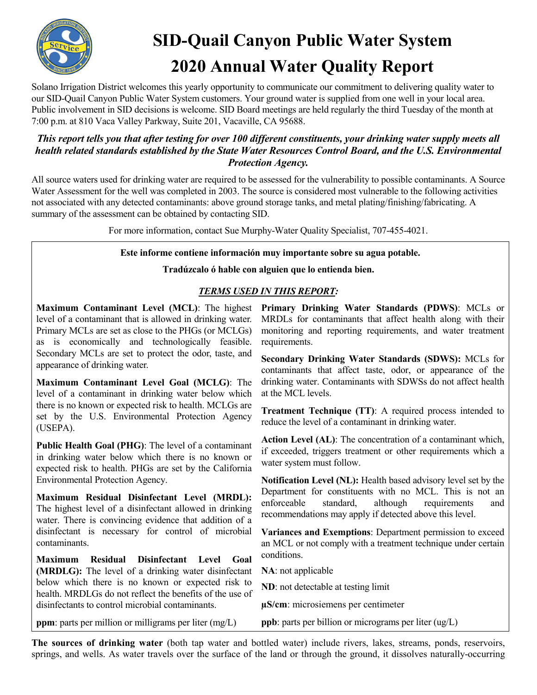

# **SID-Quail Canyon Public Water System 2020 Annual Water Quality Report**

Solano Irrigation District welcomes this yearly opportunity to communicate our commitment to delivering quality water to our SID-Quail Canyon Public Water System customers. Your ground water is supplied from one well in your local area. Public involvement in SID decisions is welcome. SID Board meetings are held regularly the third Tuesday of the month at 7:00 p.m. at 810 Vaca Valley Parkway, Suite 201, Vacaville, CA 95688.

## *This report tells you that after testing for over 100 different constituents, your drinking water supply meets all health related standards established by the State Water Resources Control Board, and the U.S. Environmental Protection Agency.*

All source waters used for drinking water are required to be assessed for the vulnerability to possible contaminants. A Source Water Assessment for the well was completed in 2003. The source is considered most vulnerable to the following activities not associated with any detected contaminants: above ground storage tanks, and metal plating/finishing/fabricating. A summary of the assessment can be obtained by contacting SID.

For more information, contact Sue Murphy-Water Quality Specialist, 707-455-4021.

#### **Este informe contiene información muy importante sobre su agua potable.**

#### **Tradúzcalo ó hable con alguien que lo entienda bien.**

### *TERMS USED IN THIS REPORT:*

**Maximum Contaminant Level (MCL)**: The highest level of a contaminant that is allowed in drinking water. Primary MCLs are set as close to the PHGs (or MCLGs) as is economically and technologically feasible. Secondary MCLs are set to protect the odor, taste, and appearance of drinking water.

**Maximum Contaminant Level Goal (MCLG)**: The level of a contaminant in drinking water below which there is no known or expected risk to health. MCLGs are set by the U.S. Environmental Protection Agency (USEPA).

**Public Health Goal (PHG)**: The level of a contaminant in drinking water below which there is no known or expected risk to health. PHGs are set by the California Environmental Protection Agency.

**Maximum Residual Disinfectant Level (MRDL):** The highest level of a disinfectant allowed in drinking water. There is convincing evidence that addition of a disinfectant is necessary for control of microbial contaminants.

**Maximum Residual Disinfectant Level Goal (MRDLG):** The level of a drinking water disinfectant below which there is no known or expected risk to health. MRDLGs do not reflect the benefits of the use of disinfectants to control microbial contaminants.

**Primary Drinking Water Standards (PDWS)**: MCLs or MRDLs for contaminants that affect health along with their monitoring and reporting requirements, and water treatment requirements.

**Secondary Drinking Water Standards (SDWS):** MCLs for contaminants that affect taste, odor, or appearance of the drinking water. Contaminants with SDWSs do not affect health at the MCL levels.

**Treatment Technique (TT)**: A required process intended to reduce the level of a contaminant in drinking water.

**Action Level (AL)**: The concentration of a contaminant which, if exceeded, triggers treatment or other requirements which a water system must follow.

**Notification Level (NL):** Health based advisory level set by the Department for constituents with no MCL. This is not an enforceable standard, although requirements and recommendations may apply if detected above this level.

**Variances and Exemptions**: Department permission to exceed an MCL or not comply with a treatment technique under certain conditions.

**NA**: not applicable

**ND**: not detectable at testing limit

**µS/cm**: microsiemens per centimeter

**ppm**: parts per million or milligrams per liter (mg/L) **ppb**: parts per billion or micrograms per liter (ug/L)

**The sources of drinking water** (both tap water and bottled water) include rivers, lakes, streams, ponds, reservoirs, springs, and wells. As water travels over the surface of the land or through the ground, it dissolves naturally-occurring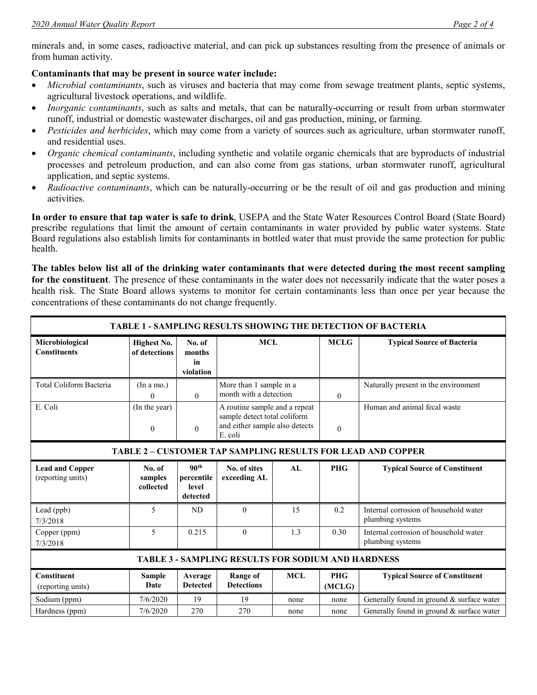minerals and, in some cases, radioactive material, and can pick up substances resulting from the presence of animals or from human activity.

#### **Contaminants that may be present in source water include:**

- *Microbial contaminants*, such as viruses and bacteria that may come from sewage treatment plants, septic systems, agricultural livestock operations, and wildlife.
- *Inorganic contaminants*, such as salts and metals, that can be naturally-occurring or result from urban stormwater runoff, industrial or domestic wastewater discharges, oil and gas production, mining, or farming.
- *Pesticides and herbicides*, which may come from a variety of sources such as agriculture, urban stormwater runoff, and residential uses.
- *Organic chemical contaminants*, including synthetic and volatile organic chemicals that are byproducts of industrial processes and petroleum production, and can also come from gas stations, urban stormwater runoff, agricultural application, and septic systems.
- *Radioactive contaminants*, which can be naturally-occurring or be the result of oil and gas production and mining activities.

**In order to ensure that tap water is safe to drink**, USEPA and the State Water Resources Control Board (State Board) prescribe regulations that limit the amount of certain contaminants in water provided by public water systems. State Board regulations also establish limits for contaminants in bottled water that must provide the same protection for public health.

**The tables below list all of the drinking water contaminants that were detected during the most recent sampling for the constituent**. The presence of these contaminants in the water does not necessarily indicate that the water poses a health risk. The State Board allows systems to monitor for certain contaminants less than once per year because the concentrations of these contaminants do not change frequently.

| <b>TABLE 1 - SAMPLING RESULTS SHOWING THE DETECTION OF BACTERIA</b> |                                   |                                                     |                                                                                                            |            |                      |                                                           |  |  |  |  |  |
|---------------------------------------------------------------------|-----------------------------------|-----------------------------------------------------|------------------------------------------------------------------------------------------------------------|------------|----------------------|-----------------------------------------------------------|--|--|--|--|--|
| Microbiological<br><b>Constituents</b>                              | Highest No.<br>of detections      | No. of<br>months<br>in<br>violation                 | <b>MCL</b>                                                                                                 |            | <b>MCLG</b>          | <b>Typical Source of Bacteria</b>                         |  |  |  |  |  |
| Total Coliform Bacteria                                             | (In a mo.)<br>$\Omega$            | $\Omega$                                            | More than 1 sample in a<br>month with a detection                                                          |            | $\theta$             | Naturally present in the environment                      |  |  |  |  |  |
| E. Coli                                                             | (In the year)<br>$\boldsymbol{0}$ | $\boldsymbol{0}$                                    | A routine sample and a repeat<br>sample detect total coliform<br>and either sample also detects<br>E. coli |            | $\boldsymbol{0}$     | Human and animal fecal waste                              |  |  |  |  |  |
| <b>TABLE 2 - CUSTOMER TAP SAMPLING RESULTS FOR LEAD AND COPPER</b>  |                                   |                                                     |                                                                                                            |            |                      |                                                           |  |  |  |  |  |
| <b>Lead and Copper</b><br>(reporting units)                         | No. of<br>samples<br>collected    | 90 <sup>th</sup><br>percentile<br>level<br>detected | No. of sites<br>exceeding AL                                                                               | AI.        | <b>PHG</b>           | <b>Typical Source of Constituent</b>                      |  |  |  |  |  |
| Lead (ppb)<br>7/3/2018                                              | 5                                 | ND.                                                 | $\Omega$                                                                                                   | 15         | 0.2                  | Internal corrosion of household water<br>plumbing systems |  |  |  |  |  |
| Copper (ppm)<br>7/3/2018                                            | 5                                 | 0.215                                               | $\theta$                                                                                                   | 1.3        | 0.30                 | Internal corrosion of household water<br>plumbing systems |  |  |  |  |  |
| <b>TABLE 3 - SAMPLING RESULTS FOR SODIUM AND HARDNESS</b>           |                                   |                                                     |                                                                                                            |            |                      |                                                           |  |  |  |  |  |
| <b>Constituent</b><br>(reporting units)                             | <b>Sample</b><br>Date             | Average<br><b>Detected</b>                          | <b>Range of</b><br><b>Detections</b>                                                                       | <b>MCL</b> | <b>PHG</b><br>(MCLG) | <b>Typical Source of Constituent</b>                      |  |  |  |  |  |
| Sodium (ppm)                                                        | 7/6/2020                          | 19                                                  | 19                                                                                                         | none       | none                 | Generally found in ground & surface water                 |  |  |  |  |  |
| Hardness (ppm)                                                      | 7/6/2020                          | 270                                                 | 270                                                                                                        | none       | none                 | Generally found in ground & surface water                 |  |  |  |  |  |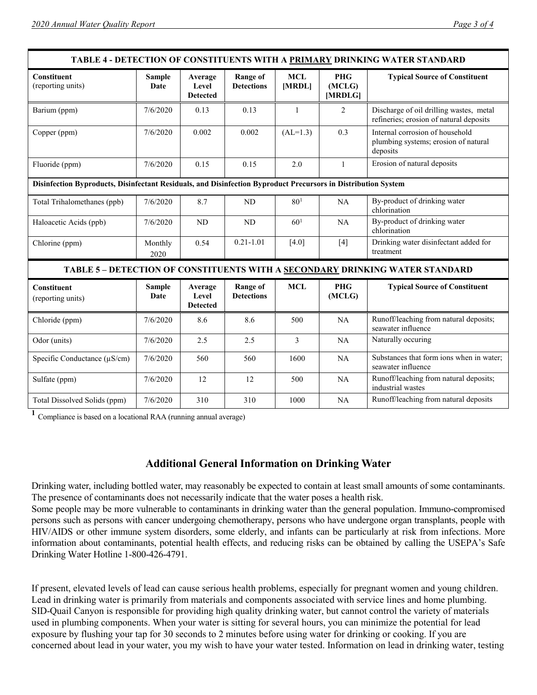| TABLE 4 - DETECTION OF CONSTITUENTS WITH A PRIMARY DRINKING WATER STANDARD                                    |                       |                                     |                                      |                      |                                 |                                                                                     |  |  |  |
|---------------------------------------------------------------------------------------------------------------|-----------------------|-------------------------------------|--------------------------------------|----------------------|---------------------------------|-------------------------------------------------------------------------------------|--|--|--|
| <b>Constituent</b><br>(reporting units)                                                                       | <b>Sample</b><br>Date | Average<br>Level<br><b>Detected</b> | <b>Range of</b><br><b>Detections</b> | <b>MCL</b><br>[MRDL] | <b>PHG</b><br>(MCLG)<br>[MRDLG] | <b>Typical Source of Constituent</b>                                                |  |  |  |
| Barium (ppm)                                                                                                  | 7/6/2020              | 0.13                                | 0.13                                 | 1                    | $\overline{2}$                  | Discharge of oil drilling wastes, metal<br>refineries; erosion of natural deposits  |  |  |  |
| Copper (ppm)                                                                                                  | 7/6/2020              | 0.002                               | 0.002                                | $(AL=1.3)$           | 0.3                             | Internal corrosion of household<br>plumbing systems; erosion of natural<br>deposits |  |  |  |
| Fluoride (ppm)                                                                                                | 7/6/2020              | 0.15                                | 0.15                                 | 2.0                  | $\mathbf{1}$                    | Erosion of natural deposits                                                         |  |  |  |
| Disinfection Byproducts, Disinfectant Residuals, and Disinfection Byproduct Precursors in Distribution System |                       |                                     |                                      |                      |                                 |                                                                                     |  |  |  |
| Total Trihalomethanes (ppb)                                                                                   | 7/6/2020              | 8.7                                 | ND                                   | 80 <sup>1</sup>      | NA                              | By-product of drinking water<br>chlorination                                        |  |  |  |
| Haloacetic Acids (ppb)                                                                                        | 7/6/2020              | N <sub>D</sub>                      | <b>ND</b>                            | 60 <sup>1</sup>      | NA                              | By-product of drinking water<br>chlorination                                        |  |  |  |
| Chlorine (ppm)                                                                                                | Monthly<br>2020       | 0.54                                | $0.21 - 1.01$                        | $[4.0]$              | $[4]$                           | Drinking water disinfectant added for<br>treatment                                  |  |  |  |
| TABLE 5 - DETECTION OF CONSTITUENTS WITH A SECONDARY DRINKING WATER STANDARD                                  |                       |                                     |                                      |                      |                                 |                                                                                     |  |  |  |
| <b>Constituent</b><br>(reporting units)                                                                       | <b>Sample</b><br>Date | Average<br>Level<br><b>Detected</b> | <b>Range of</b><br><b>Detections</b> | <b>MCL</b>           | <b>PHG</b><br>(MCLG)            | <b>Typical Source of Constituent</b>                                                |  |  |  |
| Chloride (ppm)                                                                                                | 7/6/2020              | 8.6                                 | 8.6                                  | 500                  | NA                              | Runoff/leaching from natural deposits;<br>seawater influence                        |  |  |  |
| Odor (units)                                                                                                  | 7/6/2020              | 2.5                                 | 2.5                                  | $\overline{3}$       | NA                              | Naturally occuring                                                                  |  |  |  |
| Specific Conductance $(\mu S/cm)$                                                                             | 7/6/2020              | 560                                 | 560                                  | 1600                 | NA                              | Substances that form ions when in water;<br>seawater influence                      |  |  |  |
| Sulfate (ppm)                                                                                                 | 7/6/2020              | 12                                  | 12                                   | 500                  | <b>NA</b>                       | Runoff/leaching from natural deposits;<br>industrial wastes                         |  |  |  |
| Total Dissolved Solids (ppm)                                                                                  | 7/6/2020              | 310                                 | 310                                  | 1000                 | NA                              | Runoff/leaching from natural deposits                                               |  |  |  |

**<sup>1</sup>** Compliance is based on a locational RAA (running annual average)

## **Additional General Information on Drinking Water**

Drinking water, including bottled water, may reasonably be expected to contain at least small amounts of some contaminants. The presence of contaminants does not necessarily indicate that the water poses a health risk.

Some people may be more vulnerable to contaminants in drinking water than the general population. Immuno-compromised persons such as persons with cancer undergoing chemotherapy, persons who have undergone organ transplants, people with HIV/AIDS or other immune system disorders, some elderly, and infants can be particularly at risk from infections. More information about contaminants, potential health effects, and reducing risks can be obtained by calling the USEPA's Safe Drinking Water Hotline 1-800-426-4791.

If present, elevated levels of lead can cause serious health problems, especially for pregnant women and young children. Lead in drinking water is primarily from materials and components associated with service lines and home plumbing. SID-Quail Canyon is responsible for providing high quality drinking water, but cannot control the variety of materials used in plumbing components. When your water is sitting for several hours, you can minimize the potential for lead exposure by flushing your tap for 30 seconds to 2 minutes before using water for drinking or cooking. If you are concerned about lead in your water, you my wish to have your water tested. Information on lead in drinking water, testing